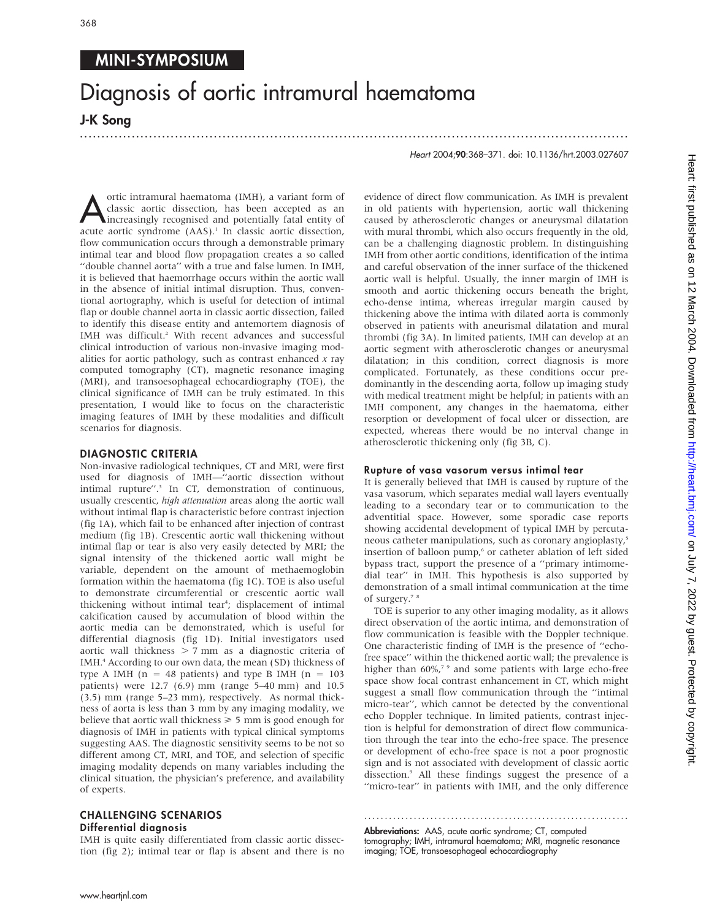### MINI-SYMPOSIUM

# Diagnosis of aortic intramural haematoma J-K Song

.............................................................................................................................. .

Heart 2004;90:368–371. doi: 10.1136/hrt.2003.027607

**A** ortic intramural haematoma (IMH), a variant form of classic aortic dissection, has been accepted as an increasingly recognised and potentially fatal entity of acute aortic syndrome  $(AAS)^T$  In classic aortic dissection classic aortic dissection, has been accepted as an acute aortic syndrome (AAS).<sup>1</sup> In classic aortic dissection, flow communication occurs through a demonstrable primary intimal tear and blood flow propagation creates a so called ''double channel aorta'' with a true and false lumen. In IMH, it is believed that haemorrhage occurs within the aortic wall in the absence of initial intimal disruption. Thus, conventional aortography, which is useful for detection of intimal flap or double channel aorta in classic aortic dissection, failed to identify this disease entity and antemortem diagnosis of IMH was difficult.<sup>2</sup> With recent advances and successful clinical introduction of various non-invasive imaging modalities for aortic pathology, such as contrast enhanced  $x$  ray computed tomography (CT), magnetic resonance imaging (MRI), and transoesophageal echocardiography (TOE), the clinical significance of IMH can be truly estimated. In this presentation, I would like to focus on the characteristic imaging features of IMH by these modalities and difficult scenarios for diagnosis.

### DIAGNOSTIC CRITERIA

Non-invasive radiological techniques, CT and MRI, were first used for diagnosis of IMH—''aortic dissection without intimal rupture".<sup>3</sup> In CT, demonstration of continuous, usually crescentic, high attenuation areas along the aortic wall without intimal flap is characteristic before contrast injection (fig 1A), which fail to be enhanced after injection of contrast medium (fig 1B). Crescentic aortic wall thickening without intimal flap or tear is also very easily detected by MRI; the signal intensity of the thickened aortic wall might be variable, dependent on the amount of methaemoglobin formation within the haematoma (fig 1C). TOE is also useful to demonstrate circumferential or crescentic aortic wall thickening without intimal tear<sup>4</sup>; displacement of intimal calcification caused by accumulation of blood within the aortic media can be demonstrated, which is useful for differential diagnosis (fig 1D). Initial investigators used aortic wall thickness  $> 7$  mm as a diagnostic criteria of IMH.<sup>4</sup> According to our own data, the mean (SD) thickness of type A IMH ( $n = 48$  patients) and type B IMH ( $n = 103$ ) patients) were 12.7 (6.9) mm (range 5–40 mm) and 10.5 (3.5) mm (range 5–23 mm), respectively. As normal thickness of aorta is less than 3 mm by any imaging modality, we believe that aortic wall thickness  $\geq 5$  mm is good enough for diagnosis of IMH in patients with typical clinical symptoms suggesting AAS. The diagnostic sensitivity seems to be not so different among CT, MRI, and TOE, and selection of specific imaging modality depends on many variables including the clinical situation, the physician's preference, and availability of experts.

### CHALLENGING SCENARIOS Differential diagnosis

IMH is quite easily differentiated from classic aortic dissection (fig 2); intimal tear or flap is absent and there is no evidence of direct flow communication. As IMH is prevalent in old patients with hypertension, aortic wall thickening caused by atherosclerotic changes or aneurysmal dilatation with mural thrombi, which also occurs frequently in the old, can be a challenging diagnostic problem. In distinguishing IMH from other aortic conditions, identification of the intima and careful observation of the inner surface of the thickened aortic wall is helpful. Usually, the inner margin of IMH is smooth and aortic thickening occurs beneath the bright, echo-dense intima, whereas irregular margin caused by thickening above the intima with dilated aorta is commonly observed in patients with aneurismal dilatation and mural thrombi (fig 3A). In limited patients, IMH can develop at an aortic segment with atherosclerotic changes or aneurysmal dilatation; in this condition, correct diagnosis is more complicated. Fortunately, as these conditions occur predominantly in the descending aorta, follow up imaging study with medical treatment might be helpful; in patients with an IMH component, any changes in the haematoma, either resorption or development of focal ulcer or dissection, are expected, whereas there would be no interval change in atherosclerotic thickening only (fig 3B, C).

### Rupture of vasa vasorum versus intimal tear

It is generally believed that IMH is caused by rupture of the vasa vasorum, which separates medial wall layers eventually leading to a secondary tear or to communication to the adventitial space. However, some sporadic case reports showing accidental development of typical IMH by percutaneous catheter manipulations, such as coronary angioplasty,5 insertion of balloon pump,<sup>6</sup> or catheter ablation of left sided bypass tract, support the presence of a ''primary intimomedial tear'' in IMH. This hypothesis is also supported by demonstration of a small intimal communication at the time of surgery.<sup>7</sup>

TOE is superior to any other imaging modality, as it allows direct observation of the aortic intima, and demonstration of flow communication is feasible with the Doppler technique. One characteristic finding of IMH is the presence of ''echofree space'' within the thickened aortic wall; the prevalence is higher than 60%,<sup>7</sup> <sup>9</sup> and some patients with large echo-free space show focal contrast enhancement in CT, which might suggest a small flow communication through the ''intimal micro-tear'', which cannot be detected by the conventional echo Doppler technique. In limited patients, contrast injection is helpful for demonstration of direct flow communication through the tear into the echo-free space. The presence or development of echo-free space is not a poor prognostic sign and is not associated with development of classic aortic dissection.9 All these findings suggest the presence of a "micro-tear" in patients with IMH, and the only difference

Abbreviations: AAS, acute aortic syndrome; CT, computed tomography; IMH, intramural haematoma; MRI, magnetic resonance imaging; TOE, transoesophageal echocardiography

............................................................... .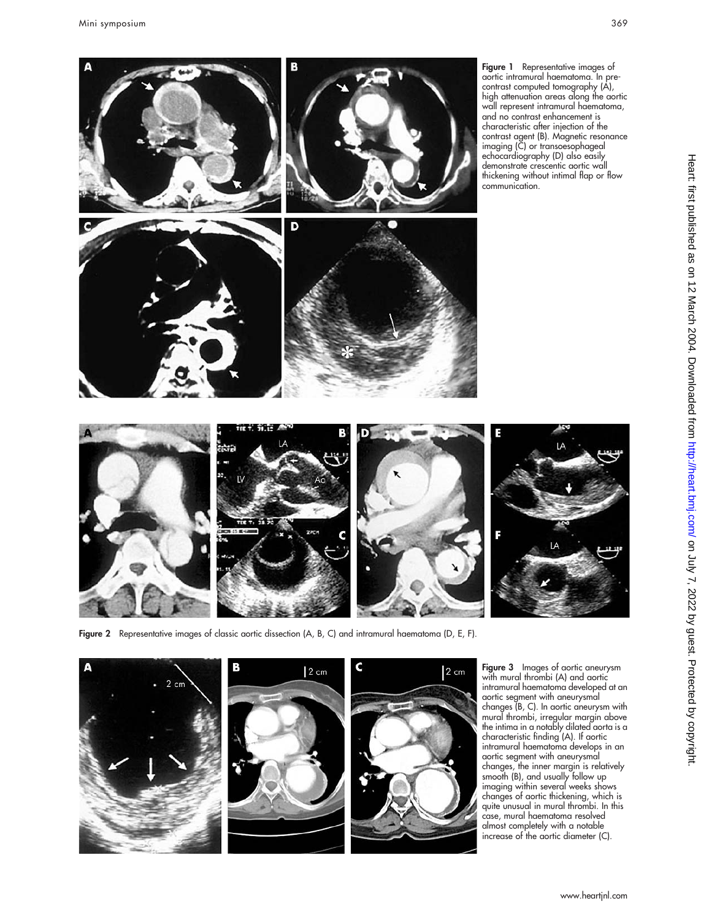

**Figure 1** Representative images of aortic intramural haematoma. In precontrast computed tomography (A), high attenuation areas along the aortic wall represent intramural haematoma, and no contrast enhancement is characteristic after injection of the contrast agent (B). Magnetic resonance imaging (C) or transoesophageal echocardiography (D) also easily demonstrate crescentic aortic wall thickening without intimal flap or flow



Figure 2 Representative images of classic aortic dissection (A, B, C) and intramural haematoma (D, E, F).



**Figure 3** Images of aortic aneurysm with mural thrombi (A) and aortic intramural haematoma developed at an aortic segment with aneurysmal changes (B, C). In aortic aneurysm with mural thrombi, irregular margin above the intima in a notably dilated aorta is a characteristic finding (A). If aortic intramural haematoma develops in an aortic segment with aneurysmal changes, the inner margin is relatively smooth (B), and usually follow up imaging within several weeks shows changes of aortic thickening, which is quite unusual in mural thrombi. In this case, mural haematoma resolved almost completely with a notable increase of the aortic diameter (C).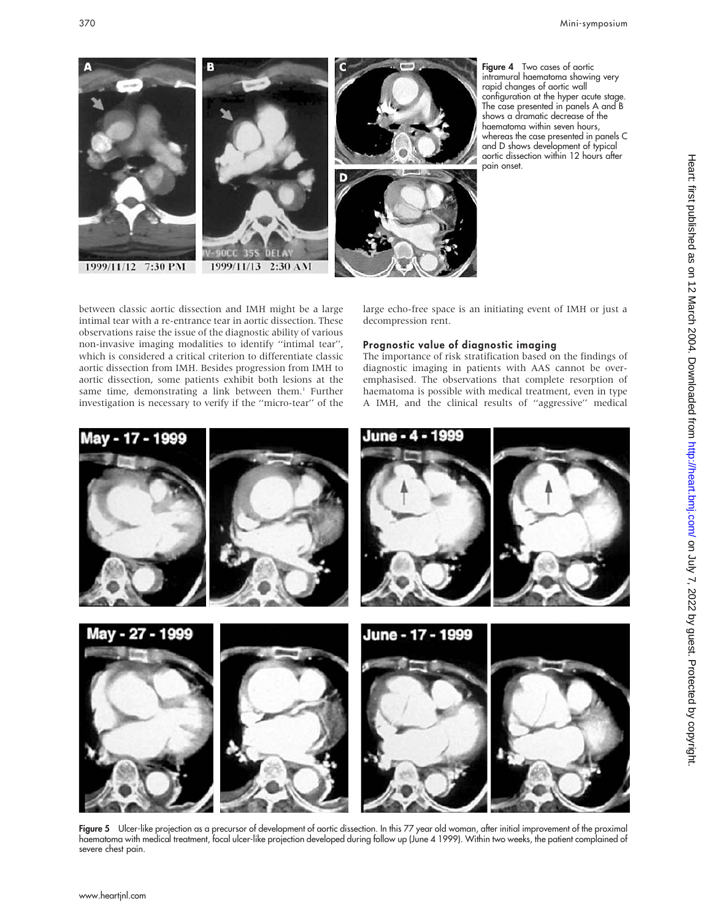

Figure 4 Two cases of aortic intramural haematoma showing very rapid changes of aortic wall configuration at the hyper acute stage. The case presented in panels A and B shows a dramatic decrease of the haematoma within seven hours, whereas the case presented in panels C and D shows development of typical aortic dissection within 12 hours after

between classic aortic dissection and IMH might be a large intimal tear with a re-entrance tear in aortic dissection. These observations raise the issue of the diagnostic ability of various non-invasive imaging modalities to identify ''intimal tear'', which is considered a critical criterion to differentiate classic aortic dissection from IMH. Besides progression from IMH to aortic dissection, some patients exhibit both lesions at the same time, demonstrating a link between them.<sup>1</sup> Further investigation is necessary to verify if the ''micro-tear'' of the large echo-free space is an initiating event of IMH or just a decompression rent.

#### Prognostic value of diagnostic imaging

The importance of risk stratification based on the findings of diagnostic imaging in patients with AAS cannot be overemphasised. The observations that complete resorption of haematoma is possible with medical treatment, even in type A IMH, and the clinical results of ''aggressive'' medical



Figure 5 Ulcer-like projection as a precursor of development of aortic dissection. In this 77 year old woman, after initial improvement of the proximal haematoma with medical treatment, focal ulcer-like projection developed during follow up (June 4 1999). Within two weeks, the patient complained of severe chest pain.